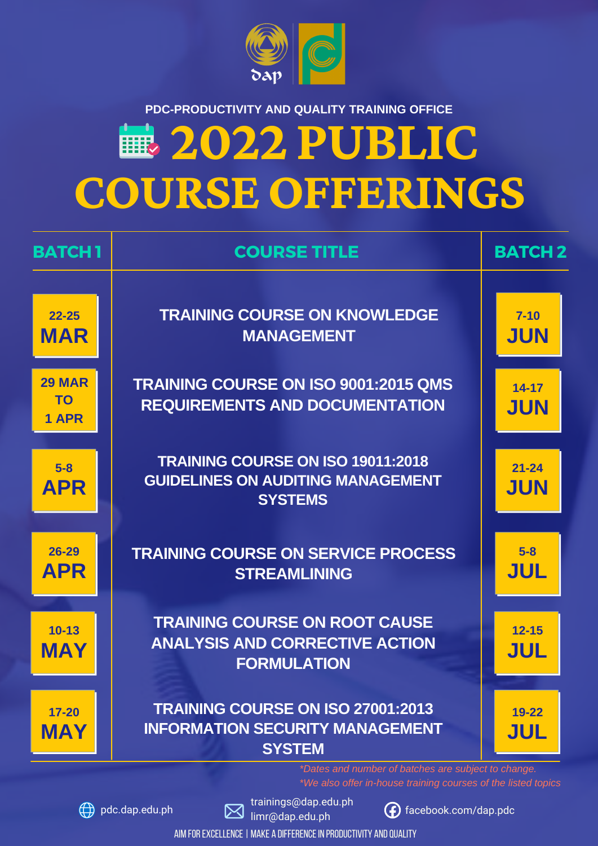# **COURSEOFFERINGS 2022 PUBLIC**

**5-8**

**APR**

**26-29**

**APR**

**10-13**

**MAY**

**17-20**

**MAY**

 $\textcircled{4}$  pdc.dap.edu.ph



**21-24**

**JUN**

**5-8**

**JUL**

**12-15**

**JUL**

**19-22**

**JUL**

AIM FOR EXCELLENCE | MAKE A DIFFERENCE IN PRODUCTIVITY AND QUALITY



#### **PDC-PRODUCTIVITY AND QUALITY TRAINING OFFICE**

| <b>BATCH1</b>                       | <b>COURSE TITLE</b>                                                                  | <b>BATCH 2</b>         |
|-------------------------------------|--------------------------------------------------------------------------------------|------------------------|
| $22 - 25$<br><b>MAR</b>             | <b>TRAINING COURSE ON KNOWLEDGE</b><br><b>MANAGEMENT</b>                             | $7 - 10$<br><b>JUN</b> |
| <b>29 MAR</b><br><b>TO</b><br>1 APR | <b>TRAINING COURSE ON ISO 9001:2015 QMS</b><br><b>REQUIREMENTS AND DOCUMENTATION</b> | 14-17<br><b>JUN</b>    |

*\*Dates and number of batches are subject to change. \*We also offer in-house training courses of the listed topics*



trainings@dap.edu.ph limr@dap.edu.ph



facebook.com/dap.pdc

### **TRAINING COURSE ON SERVICE PROCESS STREAMLINING**

**TRAINING COURSE ON ROOT CAUSE ANALYSIS AND CORRECTIVE ACTION FORMULATION**

**TRAINING COURSE ON ISO 27001:2013 INFORMATION SECURITY MANAGEMENT SYSTEM**

**TRAINING COURSE ON ISO 19011:2018 GUIDELINES ON AUDITING MANAGEMENT SYSTEMS**